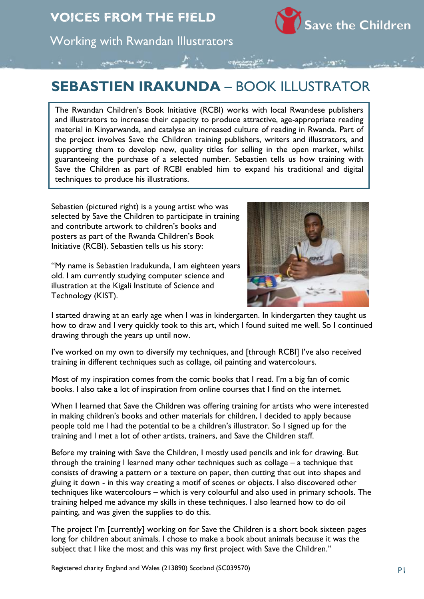

Working with Rwandan Illustrators

## **SEBASTIEN IRAKUNDA** – BOOK ILLUSTRATOR

The Rwandan Children's Book Initiative (RCBI) works with local Rwandese publishers and illustrators to increase their capacity to produce attractive, age-appropriate reading material in Kinyarwanda, and catalyse an increased culture of reading in Rwanda. Part of the project involves Save the Children training publishers, writers and illustrators, and supporting them to develop new, quality titles for selling in the open market, whilst guaranteeing the purchase of a selected number. Sebastien tells us how training with Save the Children as part of RCBI enabled him to expand his traditional and digital techniques to produce his illustrations.

Sebastien (pictured right) is a young artist who was selected by Save the Children to participate in training and contribute artwork to children's books and posters as part of the Rwanda Children's Book Initiative (RCBI). Sebastien tells us his story:

"My name is Sebastien Iradukunda, I am eighteen years old. I am currently studying computer science and illustration at the Kigali Institute of Science and Technology (KIST).



I started drawing at an early age when I was in kindergarten. In kindergarten they taught us how to draw and I very quickly took to this art, which I found suited me well. So I continued drawing through the years up until now.

I've worked on my own to diversify my techniques, and [through RCBI] I've also received training in different techniques such as collage, oil painting and watercolours.

Most of my inspiration comes from the comic books that I read. I'm a big fan of comic books. I also take a lot of inspiration from online courses that I find on the internet.

When I learned that Save the Children was offering training for artists who were interested in making children's books and other materials for children, I decided to apply because people told me I had the potential to be a children's illustrator. So I signed up for the training and I met a lot of other artists, trainers, and Save the Children staff.

Before my training with Save the Children, I mostly used pencils and ink for drawing. But through the training I learned many other techniques such as collage – a technique that consists of drawing a pattern or a texture on paper, then cutting that out into shapes and gluing it down - in this way creating a motif of scenes or objects. I also discovered other techniques like watercolours – which is very colourful and also used in primary schools. The training helped me advance my skills in these techniques. I also learned how to do oil painting, and was given the supplies to do this.

The project I'm [currently] working on for Save the Children is a short book sixteen pages long for children about animals. I chose to make a book about animals because it was the subject that I like the most and this was my first project with Save the Children."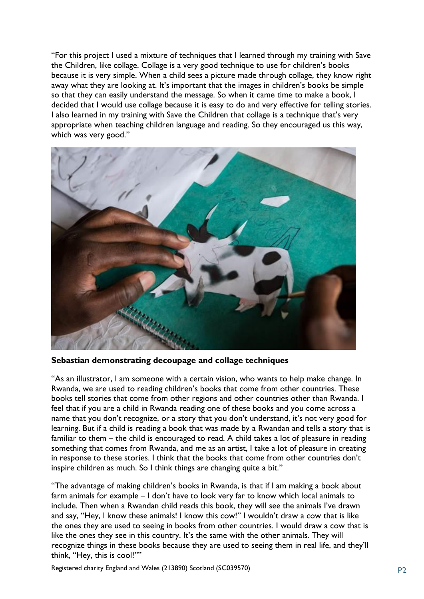"For this project I used a mixture of techniques that I learned through my training with Save the Children, like collage. Collage is a very good technique to use for children's books because it is very simple. When a child sees a picture made through collage, they know right away what they are looking at. It's important that the images in children's books be simple so that they can easily understand the message. So when it came time to make a book, I decided that I would use collage because it is easy to do and very effective for telling stories. I also learned in my training with Save the Children that collage is a technique that's very appropriate when teaching children language and reading. So they encouraged us this way, which was very good."



**Sebastian demonstrating decoupage and collage techniques**

"As an illustrator, I am someone with a certain vision, who wants to help make change. In Rwanda, we are used to reading children's books that come from other countries. These books tell stories that come from other regions and other countries other than Rwanda. I feel that if you are a child in Rwanda reading one of these books and you come across a name that you don't recognize, or a story that you don't understand, it's not very good for learning. But if a child is reading a book that was made by a Rwandan and tells a story that is familiar to them – the child is encouraged to read. A child takes a lot of pleasure in reading something that comes from Rwanda, and me as an artist, I take a lot of pleasure in creating in response to these stories. I think that the books that come from other countries don't inspire children as much. So I think things are changing quite a bit."

"The advantage of making children's books in Rwanda, is that if I am making a book about farm animals for example – I don't have to look very far to know which local animals to include. Then when a Rwandan child reads this book, they will see the animals I've drawn and say, "Hey, I know these animals! I know this cow!" I wouldn't draw a cow that is like the ones they are used to seeing in books from other countries. I would draw a cow that is like the ones they see in this country. It's the same with the other animals. They will recognize things in these books because they are used to seeing them in real life, and they'll think, "Hey, this is cool!""